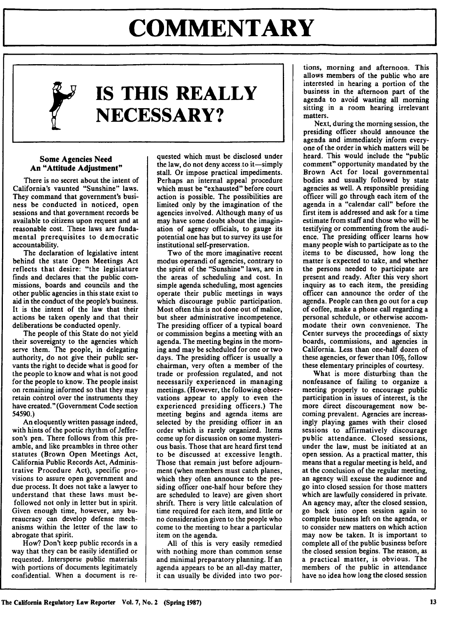# **COMMENTARY**

# **IS THIS REALLY NECESSARY?**

#### **Some Agencies Need An "Attitude Adjustment"**

There is no **secret about the intent of** California's vaunted "Sunshine" laws. They command that government's business be conducted in noticed, open sessions and that government records be available to citizens upon request and at reasonable cost. These laws are fundamental prerequisites to democratic accountability.

The declaration of legislative intent behind the state Open Meetings Act reflects that desire: "the legislature finds and declares that the public commissions, boards and councils and the other public agencies in this state exist to aid in the conduct of the people's business. It is the intent of the law that their actions be taken openly and that their deliberations be conducted openly.

The people of this State do not yield their sovereignty to the agencies which serve them. The people, in delegating authority, do not give their public servants the right to decide what is good for the people to know and what is not good for the people to know. The people insist on remaining informed so that they may retain control over the instruments they have created." (Government Code section 54590.)

An eloquently written passage indeed, with hints of the poetic rhythm of Jefferson's pen. There follows from this preamble, and like preambles in three other statutes (Brown Open Meetings Act, California Public Records Act, Administrative Procedure Act), specific provisions to assure open government and due process. It does not take a lawyer to understand that these laws must befollowed not only in letter but in spirit. Given enough time, however, any bureaucracy can develop defense mechanisms within the letter of the law to abrogate that spirit.

How? Don't keep public records in a way that they can be easily identified or requested. Intersperse public materials with portions of documents legitimately confidential. When a document is requested which must be disclosed under the law, do not deny access to it—simply stall. Or impose practical impediments. Perhaps an internal appeal procedure which must be "exhausted" before court action is possible. The possibilities are limited only by the imagination of the agencies involved. Although many of us may have some doubt about the imagination of agency officials, to gauge its potential one has but to survey its use for institutional self-preservation.

Two of the more imaginative recent modus operandi of agencies, contrary to the spirit of the "Sunshine" laws, are in the areas of scheduling and cost. In simple agenda scheduling, most agencies operate their public meetings in ways which discourage public participation. Most often this is not done out of malice, but sheer administrative incompetence. The presiding officer of a typical board or commission begins a meeting with an agenda. The meeting begins in the morning and may be scheduled for one or two days. The presiding officer is usually a chairman, very often a member of the trade or profession regulated, and not necessarily experienced in managing meetings. (However, the following observations appear to apply to even the experienced presiding officers.) The meeting begins and agenda items are selected by the presiding officer in an order which is rarely organized. Items come up for discussion on some mysterious basis. Those that are heard first tend to be discussed at excessive length. Those that remain just before adjournment (when members must catch planes, which they often announce to the presiding officer one-half hour before they are scheduled to leave) are given short shrift. There is very little calculation of time required for each item, and little or no consideration given to the people who come to the meeting to hear a particular item on the agenda.

All of this is very easily remedied with nothing more than common sense and minimal preparatory planning. If an agenda appears to be an all-day matter, it can usually be divided into two portions, morning and afternoon. This allows members of the public who are interested in hearing a portion of the business in the afternoon part of the agenda to avoid wasting all morning sitting in a room hearing irrelevant matters.

Next, during the morning session, the presiding officer should announce the agenda and immediately inform everyone of the order in which matters will be heard. This would include the "public comment" opportunity mandated **by** the Brown Act for local governmental bodies and usually followed **by** state agencies as well. **A** responsible presiding officer will go through each item of the agenda in a "calendar call" before the first item is addressed and ask for a time estimate from staff and those who will be testifying or commenting from the audience. The presiding officer learns how many people wish to participate as to the items to be discussed, how long the matter is expected to take, and whether the persons needed to participate are present and ready. After this very short inquiry as to each item, the presiding officer can announce the order of the agenda. People can then go out for a cup of coffee, make a phone call regarding a personal schedule, or otherwise accommodate their own convenience. The Center surveys the proceedings of sixty boards, commissions, and agencies in California. Less than one-half dozen of these agencies, or fewer than 10%, follow these elementary principles of courtesy.

What is more disturbing than the nonfeasance of failing to organize a meeting properly to encourage public participation in issues of interest, is the more direct discouragement now becoming prevalent. Agencies are increasingly playing games with their closed sessions to affirmatively discourage public attendance. Closed sessions, under the law, must be initiated at an open session. As a practical matter, this means that a regular meeting is held, and at the conclusion of the regular meeting, an agency will excuse the audience and go into closed session for those matters which are lawfully considered in private. An agency may, after the closed session, go back into open session again to complete business left on the agenda, or to consider new matters on which action may now be taken. It is important to complete all of the public business before the closed session begins. The reason, as a practical matter, is obvious. The members of the public in attendance have no idea how long the closed session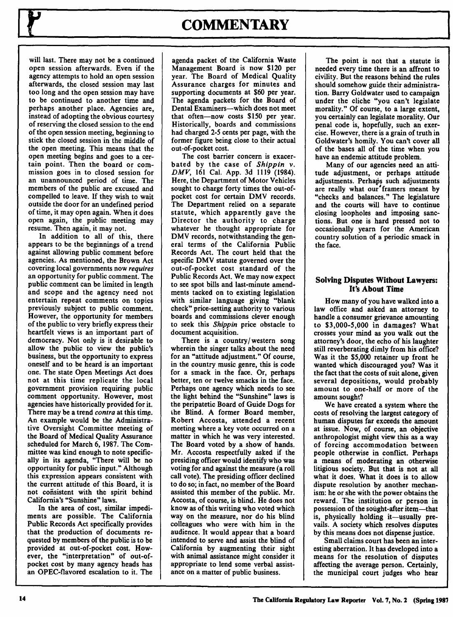### **COMMENTARY**

will last. There may not be a continued open session afterwards. Even if the agency attempts to hold an open session afterwards, the closed session may last too long and the open session may have to be continued to another time and perhaps another place. Agencies are, instead of adopting the obvious courtesy of reserving the closed session to the end of the open session meeting, beginning to stick the closed session in the middle of the open meeting. This means that the open meeting begins and goes to a certain point. Then the board or commission goes in to closed session for an unannounced period of time. The members of the public are excused and compelled to leave. **If** they wish to wait outside the door for an undefined period of time, it may open again. When it does open again, the public meeting may resume. Then again, it may not.

In addition to all of this, there appears to be the beginnings of a trend against allowing public comment before agencies. As mentioned, the Brown Act covering local governments now *requires* an opportunity for public comment. The public comment can be limited in length and scope and the agency need not entertain repeat comments on topics previously subject to public comment. However, the opportunity for members of the public to very briefly express their heartfelt views is an important part of democracy. Not only is it desirable to allow the public to view the public's business, but the opportunity to express oneself and to be heard is an important one. The state Open Meetings Act does not at this time replicate the local government provision requiring public comment opportunity. However, most agencies have historically provided for it. There may be a trend *contra* at this time. An example would be the Administrative Oversight Committee meeting of the Board of Medical Quality Assurance scheduled for March 6, **1987.** The Committee was kind enough to note specifically in its agenda, "There will be no opportunity for public input." Although this expression appears consistent with the current attitude of this Board, it is not cofisistent with the spirit behind California's "Sunshine" laws.

In the area of cost, similar impediments are possible. The California Public Records Act specifically provides that the production of documents requested **by** members of the public is to be provided at out-of-pocket cost. However, the "interpretation" of out-ofpocket cost **by** many agency heads has an OPEC-flavored escalation to it. The

agenda packet of the California Waste Management Board is now \$120 per year. The Board of Medical Quality Assurance charges for minutes and supporting documents at **\$60** per year. The agenda packets for the Board of Dental Examiners-which does not meet that often-now costs **\$150** per year. Historically, boards and commissions had charged **2-5** cents per page, with the former figure being close to their actual out-of-pocket cost.

The cost barrier concern is exacerbated **by** the case of *Shippin v. DMV,* **161** Cal. **App. 3d 1119** (1984). Here, the Department of Motor Vehicles sought to charge forty times the out-ofpocket cost for certain DMV records. The Department relied on a separate statute, which apparently gave the Director the authority to charge whatever he thought appropriate for DMV records, notwithstanding the general terms of the California Public Records Act. The court held that the specific DMV statute governed over the out-of-pocket cost standard of the Public Records Act. We may now expect to see spot bills and last-minute amendments tacked on to existing legislation with similar language giving "blank check" price-setting authority to various boards and commissions clever enough to seek this *Shippin* price obstacle to document acquisition.

There is a country/western song wherein the singer talks about the need for an "attitude adjustment." **Of** course, in the country music genre, this is code for a smack in the face. Or, perhaps better, ten or twelve smacks in the face. Perhaps one agency which needs to see the light behind the "Sunshine" laws is the peripatetic Board of Guide Dogs for ihe Blind. **A** former Board member, Robert Accosta, attended a recent meeting where a key vote occurred on a matter in which he was very interested. The Board voted **by** a show of hands. Mr. Accosta respectfully asked if the presiding officer would identify who was voting for and against the measure (a roll call vote). The presiding officer declined to **do** so; in fact, no member of the Board assisted this member of the public. Mr. Accosta, of course, is blind. He does not know as of this writing who voted which way on the measure, nor do his blind colleagues who were with him in the audience. It would appear that a board intended to serve and assist the blind of California **by** augmenting their sight with animal assistance might consider it appropriate to lend some verbal assistance on a matter of public business.

The point is not that a statute is needed every time there is an affront to civility. But the reasons behind the rules should somehow guide their administration. Barry Goldwater used to campaign under the cliche "you can't legislate morality." Of course, to a large extent, you certainly can legislate morality. Our penal code is, hopefully, such an exercise. However, there is a grain of truth in Goldwater's homily. You can't cover all of the bases all of the time when you have an endemic attitude problem.

Many of our agencies need an attitude adjustment, or perhaps attitude adjustments. Perhaps such adjustments are really what our'framers meant **by** "checks and balances." The legislature and the courts will have to continue closing loopholes and imposing sanctions. But one is hard pressed not to occasionally yearn for the American country solution of a periodic smack in the face.

### Solving Disputes Without Lawyers: It's About Time

How many of you have walked into a law office and asked an attorney to handle a consumer grievance amounting to **\$3,000-5,000** in damages? What crosses your mind as you walk out the attorney's door, the echo of his laughter still reverberating dimly from his office? Was it the **\$5,000** retainer up front he wanted which discouraged you? Was it the fact that the costs of suit alone, given several depositions, would probably amount to one-half or more of the amount sought?

We have created a system where the costs of resolving the largest category of human disputes far exceeds the amount at issue. Now, of course, an objective anthropologist might view this as a way of forcing accommodation between people otherwise in conflict. Perhaps a means of moderating an otherwise litigious society. But that is not at all what it does. What it does is to allow dispute resolution **by** another mechanism: he or she with the power obtains the reward. The institution or person in possession of the sought-after item-that is, physically holding it-usually prevails. A society which resolves disputes **by** this means does not dispense justice.

Small claims court has been an interesting aberration. It has developed into a means for the resolution of disputes affecting the average person. Certainly, the municipal court judges who hear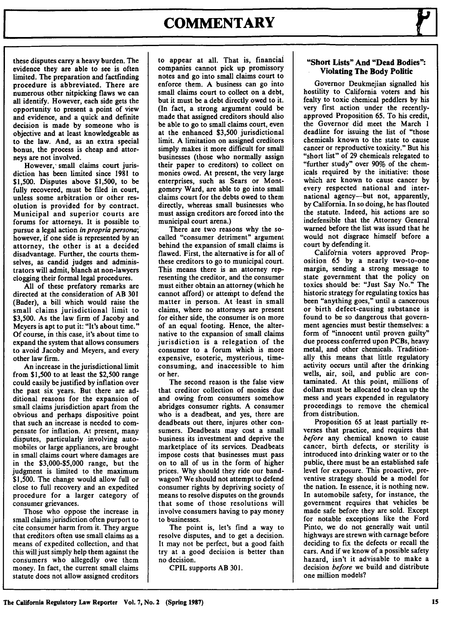## **COMMENTARY**

these disputes carry a heavy burden. The evidence they are able to see is often limited. The preparation and factfinding procedure is abbreviated. There are numerous other nitpicking flaws we can all identify. However, each side gets the opportunity to present a point of view and evidence, and a quick and definite decision is made **by** someone who is objective and at least knowledgeable as to the law. And, as an extra special bonus, the process is cheap and attorneys are not involved.

However, small claims court jurisdiction has been limited since **1981** to **\$1,500.** Disputes above **\$1,500,** to be fully recovered, must be filed in court, unless some arbitration or other resolution is provided for **by** contract. Municipal and superior courts are forums for attorneys. It is possible to pursue a legal action *in propria persona;'* however, if one side is represented **by** an attorney, the other is at a decided disadvantage. Further, the courts themselves, as candid judges and administrators will admit, blanch at non-lawyers clogging their formal legal procedures.

**All** of these prefatory remarks are directed at the consideration of **AB 301** (Bader), a bill which would raise the small claims jurisdictional limit to **\$3,500.** As the law firm of Jacoby and Meyers is apt to put it: "It's about time." **Of** course, in this case, it's about time to expand the system that allows consumers to avoid Jacoby and Meyers, and every other law firm.

An increase in the jurisdictional limit from **\$1,500** to at least the **\$2,500** range could easily be justified **by** inflation over the past six years. But there are additional reasons for the expansion of small claims jurisdiction apart from the obvious and perhaps dispositive point that such an increase is needed to compensate for inflation. At present, many disputes, particularly involving automobiles or large appliances, are brought in small claims court where damages are in the **\$3,000-\$5,000** range, but the judgment is limited to the maximum **\$1,500.** The change would allow full or close to full recovery and an expedited procedure for a larger category of consumer grievances.

Those who oppose the increase in small claims jurisdiction often purport to cite consumer harm from it. They argue that creditors often use small claims as a means of expedited collection, and that this will just simply help them against the consumers who allegedly owe them money. In fact, the current small claims statute does not allow assigned creditors to appear at all. That is, financial companies cannot pick up promissory notes and go into small claims court to enforce them. **A** business can go into small claims court to collect on a debt, but it must be a debt directly owed to it. (In fact, a strong argument could be made that assigned creditors should also be able to go to small claims court, even at the enhanced **\$3,500** jurisdictional limit. **A** limitation on assigned creditors simply makes it more difficult for small businesses (those who normally assign their paper to creditors) to collect on monies owed. At present, the very large enterprises, such as Sears or Montgomery Ward, are able to go into small claims court for the debts owed to them directly, whereas small businesses who must assign creditors are forced into the municipal court arena.)

There are two reasons why the socalled "consumer detriment" argument behind the expansion of small claims is flawed. First, the alternative is for all of these creditors to go to municipal court. This means there is an attorney representing the creditor, and the consumer must either obtain an attorney (which he cannot afford) or attempt to defend the matter in person. At least in small claims, where no attorneys are present for either side, the consumer is on more of an equal footing. Hence, the alternative to the expansion of small claims jurisdiction is a relegation of the consumer to a forum which is more expensive, esoteric, mysterious, timeconsuming, and inaccessible to him or her.

The second reason is the false view that creditor collection of monies due and owing from consumers somehow abridges consumer rights. **A** consumer who is a deadbeat, and yes, there are deadbeats out there, injures other consumers. Deadbeats may cost a small business its investment and deprive the marketplace of its services. Deadbeats impose costs that businesses must pass on to all of us in the form of higher prices. **Why** should they ride our bandwagon? We should not attempt to defend consumer rights **by** depriving society of means to resolve disputes on the grounds that some of those resolutions will involve consumers having to pay money to businesses.

The point is, let's find a way to resolve disputes, and to get a decision. It may not be perfect, but a good faith try at a good decision is better than no decision.

CPIL supports **AB 301.**

#### **"Short Lists" And "Dead Bodies": Violating The Body Politic**

Governor Deukmejian signalled his hostility to California voters and his fealty to toxic chemical peddlers **by** his very first action under the recentlyapproved Proposition **65.** To his credit, the Governor did meet the March **1** deadline for issuing the list of "those chemicals known to the state to cause cancer or reproductive toxicity." But his "short list" of **29** chemicals relegated to "further study" over **90%** of the chemicals required **by** the initiative: those which are known to cause cancer **by** every respected national and international agency-but not, apparently, **by** California. In so doing, he has flouted the statute. Indeed, his actions are so indefensible that the Attorney General warned before the list was issued that he would not disgrace himself before a court **by** defending it.

California voters approved Proposition 65 **by** a nearly two-to-one margin, sending a strong message to state government that the policy on toxics should be: "Just Say No." The historic strategy for regulating toxics has been "anything goes," until a cancerous or birth defect-causing substance is found to be so dangerous that government agencies must bestir themselves: a form of "innocent until proven guilty" due process conferred upon PCBs, heavy metal, and other chemicals. Traditionally this means that little regulatory activity occurs until after the drinking wells, air, soil, and public are contaminated. At this point, millions of dollars must be allocated to clean up the mess and years expended in regulatory proceedings to remove the chemical from distribution.

Proposition **65** at least partially reverses that practice, and requires that *before* any chemical known to cause cancer, birth defects, or sterility is introduced into drinking water or to the public, there must be an established safe level for exposure. This proactive, preventive strategy should be a model for the nation. In essence, it is nothing new. In automobile safety, for instance, the government requires that vehicles be made safe before they are sold. Except for notable exceptions like the Ford Pinto, we do not generally wait until highways are strewn with carnage before deciding to fix the defects or recall the cars. And if we know of a possible safety hazard, isn't it advisable to make a decision *before* we build and distribute one million models?